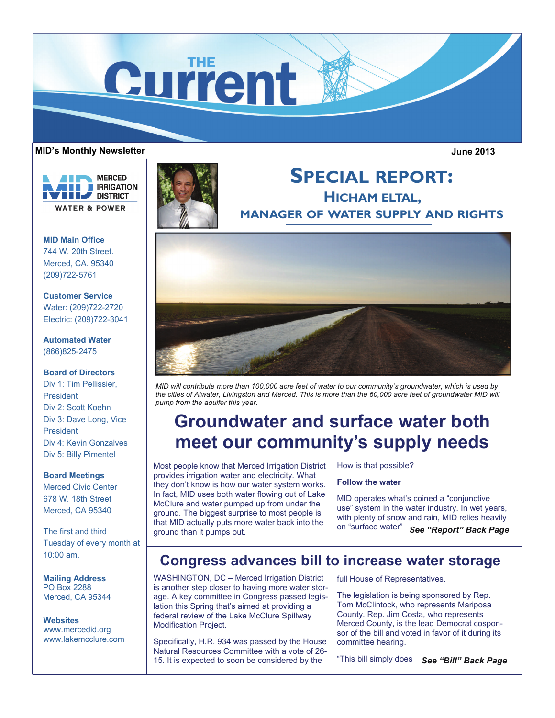# Current

## MID's Monthly Newsletter **Microsoft Controlled Executive Controlle** And Microsoft Controlled Building and Microsoft Controlled Building and Microsoft Controlled Building and Microsoft Controlled Building and Microsoft Cont

**MERCED IRRIGATION DISTRICT WATER & POWER** 

**MID Main Office**  744 W. 20th Street. Merced, CA. 95340 (209)722-5761

# **Customer Service**

Water: (209)722-2720 Electric: (209)722-3041

# **Automated Water**  (866)825-2475

# **Board of Directors**

Div 1: Tim Pellissier, President Div 2: Scott Koehn Div 3: Dave Long, Vice President Div 4: Kevin Gonzalves Div 5: Billy Pimentel

# **Board Meetings**

Merced Civic Center 678 W. 18th Street Merced, CA 95340

The first and third Tuesday of every month at 10:00 am.

**Mailing Address**  PO Box 2288 Merced, CA 95344

**Websites**  www.mercedid.org www.lakemcclure.com



# **SPECIAL REPORT: HICHAM ELTAL, MANAGER OF WATER SUPPLY AND RIGHTS**



*MID will contribute more than 100,000 acre feet of water to our community's groundwater, which is used by*  the cities of Atwater, Livingston and Merced. This is more than the 60,000 acre feet of groundwater MID will *pump from the aquifer this year.* 

# **Groundwater and surface water both meet our community's supply needs**

Most people know that Merced Irrigation District provides irrigation water and electricity. What they don't know is how our water system works. In fact, MID uses both water flowing out of Lake McClure and water pumped up from under the ground. The biggest surprise to most people is that MID actually puts more water back into the ground than it pumps out.

How is that possible?

# **Follow the water**

MID operates what's coined a "conjunctive use" system in the water industry. In wet years, with plenty of snow and rain, MID relies heavily on "surface water" *See "Report" Back Page* 

# **Congress advances bill to increase water storage**

WASHINGTON, DC – Merced Irrigation District is another step closer to having more water storage. A key committee in Congress passed legislation this Spring that's aimed at providing a federal review of the Lake McClure Spillway Modification Project.

Specifically, H.R. 934 was passed by the House Natural Resources Committee with a vote of 26- 15. It is expected to soon be considered by the

full House of Representatives.

The legislation is being sponsored by Rep. Tom McClintock, who represents Mariposa County. Rep. Jim Costa, who represents Merced County, is the lead Democrat cosponsor of the bill and voted in favor of it during its committee hearing.

"This bill simply does *See "Bill" Back Page*